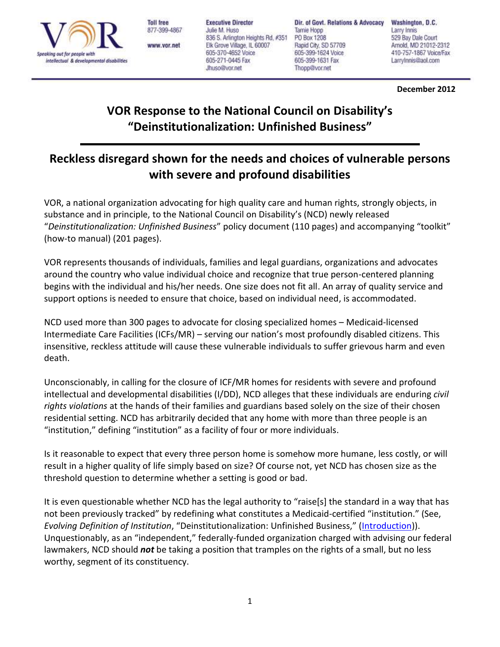

**Toll free** 877-399-4867

www.vor.net

**Executive Director** Julie M. Huso 836 S. Arlington Heights Rd, #351 Elk Grove Village, IL 60007 605-370-4652 Voice 605-271-0445 Fax Jhuso@vor.net

Dir. of Govt. Relations & Advocacy Tamie Hopp PO Box 1208 Rapid City, SD 57709 605-399-1624 Voice 605-399-1631 Fax Thopp@vor.net

Washington, D.C. Larry Innis 529 Bay Dale Court Arnold, MD 21012-2312 410-757-1867 Voice/Fax LarryInnis@aol.com

**December 2012**

# **VOR Response to the National Council on Disability's "Deinstitutionalization: Unfinished Business"**

## **Reckless disregard shown for the needs and choices of vulnerable persons with severe and profound disabilities**

VOR, a national organization advocating for high quality care and human rights, strongly objects, in substance and in principle, to the National Council on Disability's (NCD) newly released "*Deinstitutionalization: Unfinished Business*" policy document (110 pages) and accompanying "toolkit" (how-to manual) (201 pages).

VOR represents thousands of individuals, families and legal guardians, organizations and advocates around the country who value individual choice and recognize that true person-centered planning begins with the individual and his/her needs. One size does not fit all. An array of quality service and support options is needed to ensure that choice, based on individual need, is accommodated.

NCD used more than 300 pages to advocate for closing specialized homes – Medicaid-licensed Intermediate Care Facilities (ICFs/MR) – serving our nation's most profoundly disabled citizens. This insensitive, reckless attitude will cause these vulnerable individuals to suffer grievous harm and even death.

Unconscionably, in calling for the closure of ICF/MR homes for residents with severe and profound intellectual and developmental disabilities (I/DD), NCD alleges that these individuals are enduring *civil rights violations* at the hands of their families and guardians based solely on the size of their chosen residential setting. NCD has arbitrarily decided that any home with more than three people is an "institution," defining "institution" as a facility of four or more individuals.

Is it reasonable to expect that every three person home is somehow more humane, less costly, or will result in a higher quality of life simply based on size? Of course not, yet NCD has chosen size as the threshold question to determine whether a setting is good or bad.

It is even questionable whether NCD has the legal authority to "raise[s] the standard in a way that has not been previously tracked" by redefining what constitutes a Medicaid-certified "institution." (See, *Evolving Definition of Institution*, "Deinstitutionalization: Unfinished Business," ([Introduction\)](http://www.ncd.gov/publications/2012/DIToolkit/Introduction#I2)). Unquestionably, as an "independent," federally-funded organization charged with advising our federal lawmakers, NCD should *not* be taking a position that tramples on the rights of a small, but no less worthy, segment of its constituency.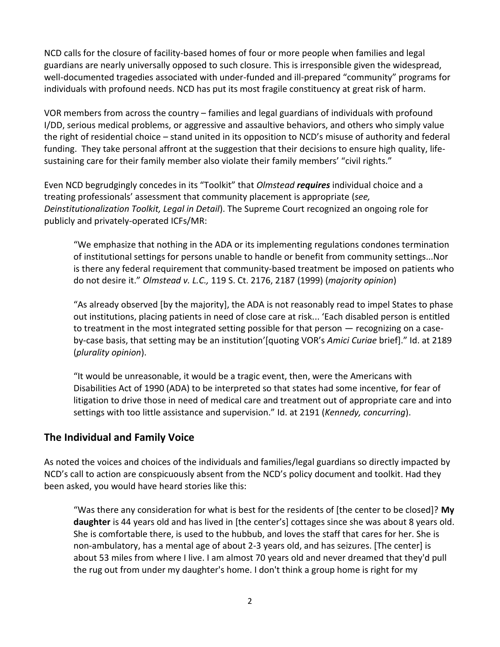NCD calls for the closure of facility-based homes of four or more people when families and legal guardians are nearly universally opposed to such closure. This is irresponsible given the widespread, well-documented tragedies associated with under-funded and ill-prepared "community" programs for individuals with profound needs. NCD has put its most fragile constituency at great risk of harm.

VOR members from across the country – families and legal guardians of individuals with profound I/DD, serious medical problems, or aggressive and assaultive behaviors, and others who simply value the right of residential choice – stand united in its opposition to NCD's misuse of authority and federal funding. They take personal affront at the suggestion that their decisions to ensure high quality, lifesustaining care for their family member also violate their family members' "civil rights."

Even NCD begrudgingly concedes in its "Toolkit" that *Olmstead requires* individual choice and a treating professionals' assessment that community placement is appropriate (*see, Deinstitutionalization Toolkit, Legal in Detail*). The Supreme Court recognized an ongoing role for publicly and privately-operated ICFs/MR:

"We emphasize that nothing in the ADA or its implementing regulations condones termination of institutional settings for persons unable to handle or benefit from community settings...Nor is there any federal requirement that community-based treatment be imposed on patients who do not desire it." *Olmstead v. L.C.,* 119 S. Ct. 2176, 2187 (1999) (*majority opinion*)

"As already observed [by the majority], the ADA is not reasonably read to impel States to phase out institutions, placing patients in need of close care at risk... 'Each disabled person is entitled to treatment in the most integrated setting possible for that person — recognizing on a caseby-case basis, that setting may be an institution'[quoting VOR's *Amici Curiae* brief]." Id. at 2189 (*plurality opinion*).

"It would be unreasonable, it would be a tragic event, then, were the Americans with Disabilities Act of 1990 (ADA) to be interpreted so that states had some incentive, for fear of litigation to drive those in need of medical care and treatment out of appropriate care and into settings with too little assistance and supervision." Id. at 2191 (*Kennedy, concurring*).

### **The Individual and Family Voice**

As noted the voices and choices of the individuals and families/legal guardians so directly impacted by NCD's call to action are conspicuously absent from the NCD's policy document and toolkit. Had they been asked, you would have heard stories like this:

"Was there any consideration for what is best for the residents of [the center to be closed]? **My daughter** is 44 years old and has lived in [the center's] cottages since she was about 8 years old. She is comfortable there, is used to the hubbub, and loves the staff that cares for her. She is non-ambulatory, has a mental age of about 2-3 years old, and has seizures. [The center] is about 53 miles from where I live. I am almost 70 years old and never dreamed that they'd pull the rug out from under my daughter's home. I don't think a group home is right for my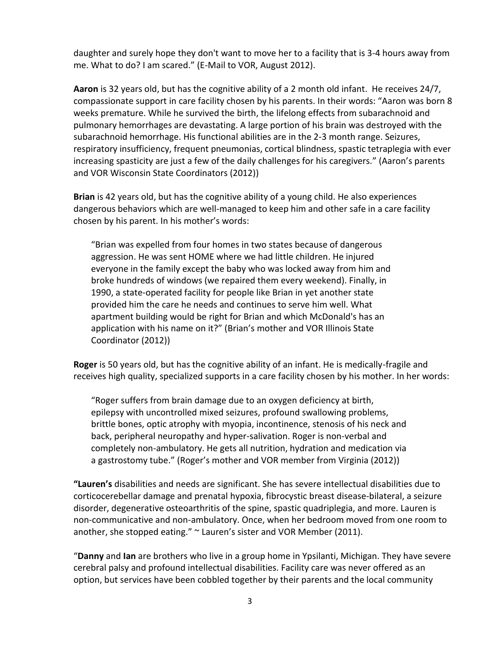daughter and surely hope they don't want to move her to a facility that is 3-4 hours away from me. What to do? I am scared." (E-Mail to VOR, August 2012).

**Aaron** is 32 years old, but has the cognitive ability of a 2 month old infant. He receives 24/7, compassionate support in care facility chosen by his parents. In their words: "Aaron was born 8 weeks premature. While he survived the birth, the lifelong effects from subarachnoid and pulmonary hemorrhages are devastating. A large portion of his brain was destroyed with the subarachnoid hemorrhage. His functional abilities are in the 2-3 month range. Seizures, respiratory insufficiency, frequent pneumonias, cortical blindness, spastic tetraplegia with ever increasing spasticity are just a few of the daily challenges for his caregivers." (Aaron's parents and VOR Wisconsin State Coordinators (2012))

**Brian** is 42 years old, but has the cognitive ability of a young child. He also experiences dangerous behaviors which are well-managed to keep him and other safe in a care facility chosen by his parent. In his mother's words:

"Brian was expelled from four homes in two states because of dangerous aggression. He was sent HOME where we had little children. He injured everyone in the family except the baby who was locked away from him and broke hundreds of windows (we repaired them every weekend). Finally, in 1990, a state-operated facility for people like Brian in yet another state provided him the care he needs and continues to serve him well. What apartment building would be right for Brian and which McDonald's has an application with his name on it?" (Brian's mother and VOR Illinois State Coordinator (2012))

**Roger** is 50 years old, but has the cognitive ability of an infant. He is medically-fragile and receives high quality, specialized supports in a care facility chosen by his mother. In her words:

"Roger suffers from brain damage due to an oxygen deficiency at birth, epilepsy with uncontrolled mixed seizures, profound swallowing problems, brittle bones, optic atrophy with myopia, incontinence, stenosis of his neck and back, peripheral neuropathy and hyper-salivation. Roger is non-verbal and completely non-ambulatory. He gets all nutrition, hydration and medication via a gastrostomy tube." (Roger's mother and VOR member from Virginia (2012))

**"Lauren's** disabilities and needs are significant. She has severe intellectual disabilities due to corticocerebellar damage and prenatal hypoxia, fibrocystic breast disease-bilateral, a seizure disorder, degenerative osteoarthritis of the spine, spastic quadriplegia, and more. Lauren is non-communicative and non-ambulatory. Once, when her bedroom moved from one room to another, she stopped eating." ~ Lauren's sister and VOR Member (2011).

"**Danny** and **Ian** are brothers who live in a group home in Ypsilanti, Michigan. They have severe cerebral palsy and profound intellectual disabilities. Facility care was never offered as an option, but services have been cobbled together by their parents and the local community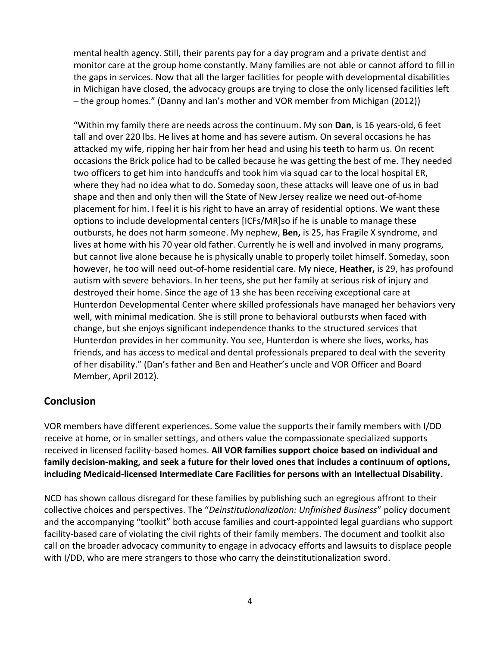mental health agency. Still, their parents pay for a day program and a private dentist and monitor care at the group home constantly. Many families are not able or cannot afford to fill in the gaps in services. Now that all the larger facilities for people with developmental disabilities in Michigan have closed, the advocacy groups are trying to close the only licensed facilities left – the group homes." (Danny and Ian's mother and VOR member from Michigan (2012))

"Within my family there are needs across the continuum. My son **Dan**, is 16 years-old, 6 feet tall and over 220 lbs. He lives at home and has severe autism. On several occasions he has attacked my wife, ripping her hair from her head and using his teeth to harm us. On recent occasions the Brick police had to be called because he was getting the best of me. They needed two officers to get him into handcuffs and took him via squad car to the local hospital ER, where they had no idea what to do. Someday soon, these attacks will leave one of us in bad shape and then and only then will the State of New Jersey realize we need out-of-home placement for him. I feel it is his right to have an array of residential options. We want these options to include developmental centers [ICFs/MR]so if he is unable to manage these outbursts, he does not harm someone. My nephew, **Ben,** is 25, has Fragile X syndrome, and lives at home with his 70 year old father. Currently he is well and involved in many programs, but cannot live alone because he is physically unable to properly toilet himself. Someday, soon however, he too will need out-of-home residential care. My niece, **Heather,** is 29, has profound autism with severe behaviors. In her teens, she put her family at serious risk of injury and destroyed their home. Since the age of 13 she has been receiving exceptional care at Hunterdon Developmental Center where skilled professionals have managed her behaviors very well, with minimal medication. She is still prone to behavioral outbursts when faced with change, but she enjoys significant independence thanks to the structured services that Hunterdon provides in her community. You see, Hunterdon is where she lives, works, has friends, and has access to medical and dental professionals prepared to deal with the severity of her disability." (Dan's father and Ben and Heather's uncle and VOR Officer and Board Member, April 2012).

### **Conclusion**

VOR members have different experiences. Some value the supports their family members with I/DD receive at home, or in smaller settings, and others value the compassionate specialized supports received in licensed facility-based homes. **All VOR families support choice based on individual and family decision-making, and seek a future for their loved ones that includes a continuum of options, including Medicaid-licensed Intermediate Care Facilities for persons with an Intellectual Disability.**

NCD has shown callous disregard for these families by publishing such an egregious affront to their collective choices and perspectives. The "*Deinstitutionalization: Unfinished Business*" policy document and the accompanying "toolkit" both accuse families and court-appointed legal guardians who support facility-based care of violating the civil rights of their family members. The document and toolkit also call on the broader advocacy community to engage in advocacy efforts and lawsuits to displace people with I/DD, who are mere strangers to those who carry the deinstitutionalization sword.